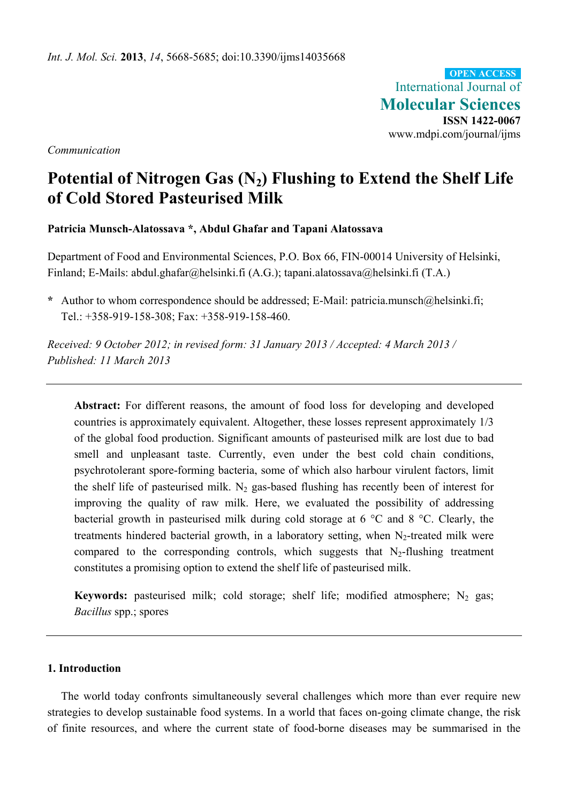International Journal of **Molecular Sciences ISSN 1422-0067**  www.mdpi.com/journal/ijms **OPEN ACCESS**

*Communication* 

# **Potential of Nitrogen Gas (N2) Flushing to Extend the Shelf Life of Cold Stored Pasteurised Milk**

# **Patricia Munsch-Alatossava \*, Abdul Ghafar and Tapani Alatossava**

Department of Food and Environmental Sciences, P.O. Box 66, FIN-00014 University of Helsinki, Finland; E-Mails: abdul.ghafar@helsinki.fi (A.G.); tapani.alatossava@helsinki.fi (T.A.)

**\*** Author to whom correspondence should be addressed; E-Mail: patricia.munsch@helsinki.fi; Tel.: +358-919-158-308; Fax: +358-919-158-460.

*Received: 9 October 2012; in revised form: 31 January 2013 / Accepted: 4 March 2013 / Published: 11 March 2013* 

**Abstract:** For different reasons, the amount of food loss for developing and developed countries is approximately equivalent. Altogether, these losses represent approximately 1/3 of the global food production. Significant amounts of pasteurised milk are lost due to bad smell and unpleasant taste. Currently, even under the best cold chain conditions, psychrotolerant spore-forming bacteria, some of which also harbour virulent factors, limit the shelf life of pasteurised milk. N<sub>2</sub> gas-based flushing has recently been of interest for improving the quality of raw milk. Here, we evaluated the possibility of addressing bacterial growth in pasteurised milk during cold storage at 6 °C and 8 °C. Clearly, the treatments hindered bacterial growth, in a laboratory setting, when  $N_2$ -treated milk were compared to the corresponding controls, which suggests that  $N_2$ -flushing treatment constitutes a promising option to extend the shelf life of pasteurised milk.

**Keywords:** pasteurised milk; cold storage; shelf life; modified atmosphere;  $N_2$  gas; *Bacillus* spp.; spores

# **1. Introduction**

The world today confronts simultaneously several challenges which more than ever require new strategies to develop sustainable food systems. In a world that faces on-going climate change, the risk of finite resources, and where the current state of food-borne diseases may be summarised in the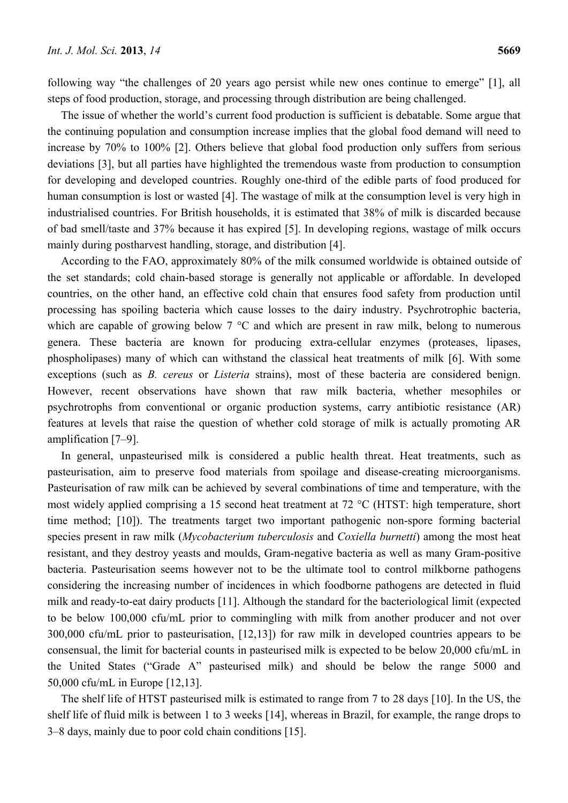following way "the challenges of 20 years ago persist while new ones continue to emerge" [1], all steps of food production, storage, and processing through distribution are being challenged.

The issue of whether the world's current food production is sufficient is debatable. Some argue that the continuing population and consumption increase implies that the global food demand will need to increase by 70% to 100% [2]. Others believe that global food production only suffers from serious deviations [3], but all parties have highlighted the tremendous waste from production to consumption for developing and developed countries. Roughly one-third of the edible parts of food produced for human consumption is lost or wasted [4]. The wastage of milk at the consumption level is very high in industrialised countries. For British households, it is estimated that 38% of milk is discarded because of bad smell/taste and 37% because it has expired [5]. In developing regions, wastage of milk occurs mainly during postharvest handling, storage, and distribution [4].

According to the FAO, approximately 80% of the milk consumed worldwide is obtained outside of the set standards; cold chain-based storage is generally not applicable or affordable. In developed countries, on the other hand, an effective cold chain that ensures food safety from production until processing has spoiling bacteria which cause losses to the dairy industry. Psychrotrophic bacteria, which are capable of growing below 7 °C and which are present in raw milk, belong to numerous genera. These bacteria are known for producing extra-cellular enzymes (proteases, lipases, phospholipases) many of which can withstand the classical heat treatments of milk [6]. With some exceptions (such as *B. cereus* or *Listeria* strains), most of these bacteria are considered benign. However, recent observations have shown that raw milk bacteria, whether mesophiles or psychrotrophs from conventional or organic production systems, carry antibiotic resistance (AR) features at levels that raise the question of whether cold storage of milk is actually promoting AR amplification [7–9].

In general, unpasteurised milk is considered a public health threat. Heat treatments, such as pasteurisation, aim to preserve food materials from spoilage and disease-creating microorganisms. Pasteurisation of raw milk can be achieved by several combinations of time and temperature, with the most widely applied comprising a 15 second heat treatment at 72 °C (HTST: high temperature, short time method; [10]). The treatments target two important pathogenic non-spore forming bacterial species present in raw milk (*Mycobacterium tuberculosis* and *Coxiella burnetti*) among the most heat resistant, and they destroy yeasts and moulds, Gram-negative bacteria as well as many Gram-positive bacteria. Pasteurisation seems however not to be the ultimate tool to control milkborne pathogens considering the increasing number of incidences in which foodborne pathogens are detected in fluid milk and ready-to-eat dairy products [11]. Although the standard for the bacteriological limit (expected to be below 100,000 cfu/mL prior to commingling with milk from another producer and not over 300,000 cfu/mL prior to pasteurisation, [12,13]) for raw milk in developed countries appears to be consensual, the limit for bacterial counts in pasteurised milk is expected to be below 20,000 cfu/mL in the United States ("Grade A" pasteurised milk) and should be below the range 5000 and 50,000 cfu/mL in Europe [12,13].

The shelf life of HTST pasteurised milk is estimated to range from 7 to 28 days [10]. In the US, the shelf life of fluid milk is between 1 to 3 weeks [14], whereas in Brazil, for example, the range drops to 3–8 days, mainly due to poor cold chain conditions [15].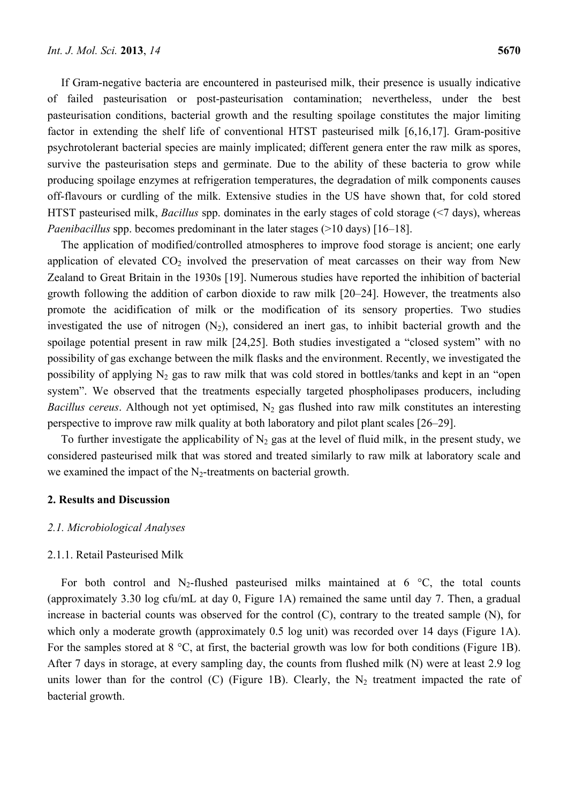If Gram-negative bacteria are encountered in pasteurised milk, their presence is usually indicative of failed pasteurisation or post-pasteurisation contamination; nevertheless, under the best pasteurisation conditions, bacterial growth and the resulting spoilage constitutes the major limiting factor in extending the shelf life of conventional HTST pasteurised milk [6,16,17]. Gram-positive psychrotolerant bacterial species are mainly implicated; different genera enter the raw milk as spores, survive the pasteurisation steps and germinate. Due to the ability of these bacteria to grow while producing spoilage enzymes at refrigeration temperatures, the degradation of milk components causes off-flavours or curdling of the milk. Extensive studies in the US have shown that, for cold stored HTST pasteurised milk, *Bacillus* spp. dominates in the early stages of cold storage (<7 days), whereas *Paenibacillus* spp. becomes predominant in the later stages (>10 days) [16–18].

The application of modified/controlled atmospheres to improve food storage is ancient; one early application of elevated  $CO<sub>2</sub>$  involved the preservation of meat carcasses on their way from New Zealand to Great Britain in the 1930s [19]. Numerous studies have reported the inhibition of bacterial growth following the addition of carbon dioxide to raw milk [20–24]. However, the treatments also promote the acidification of milk or the modification of its sensory properties. Two studies investigated the use of nitrogen  $(N_2)$ , considered an inert gas, to inhibit bacterial growth and the spoilage potential present in raw milk [24,25]. Both studies investigated a "closed system" with no possibility of gas exchange between the milk flasks and the environment. Recently, we investigated the possibility of applying  $N_2$  gas to raw milk that was cold stored in bottles/tanks and kept in an "open system". We observed that the treatments especially targeted phospholipases producers, including *Bacillus cereus*. Although not yet optimised,  $N_2$  gas flushed into raw milk constitutes an interesting perspective to improve raw milk quality at both laboratory and pilot plant scales [26–29].

To further investigate the applicability of  $N_2$  gas at the level of fluid milk, in the present study, we considered pasteurised milk that was stored and treated similarly to raw milk at laboratory scale and we examined the impact of the  $N_2$ -treatments on bacterial growth.

# **2. Results and Discussion**

#### *2.1. Microbiological Analyses*

#### 2.1.1. Retail Pasteurised Milk

For both control and N<sub>2</sub>-flushed pasteurised milks maintained at 6  $\degree$ C, the total counts (approximately 3.30 log cfu/mL at day 0, Figure 1A) remained the same until day 7. Then, a gradual increase in bacterial counts was observed for the control (C), contrary to the treated sample (N), for which only a moderate growth (approximately 0.5 log unit) was recorded over 14 days (Figure 1A). For the samples stored at 8 °C, at first, the bacterial growth was low for both conditions (Figure 1B). After 7 days in storage, at every sampling day, the counts from flushed milk (N) were at least 2.9 log units lower than for the control (C) (Figure 1B). Clearly, the  $N_2$  treatment impacted the rate of bacterial growth.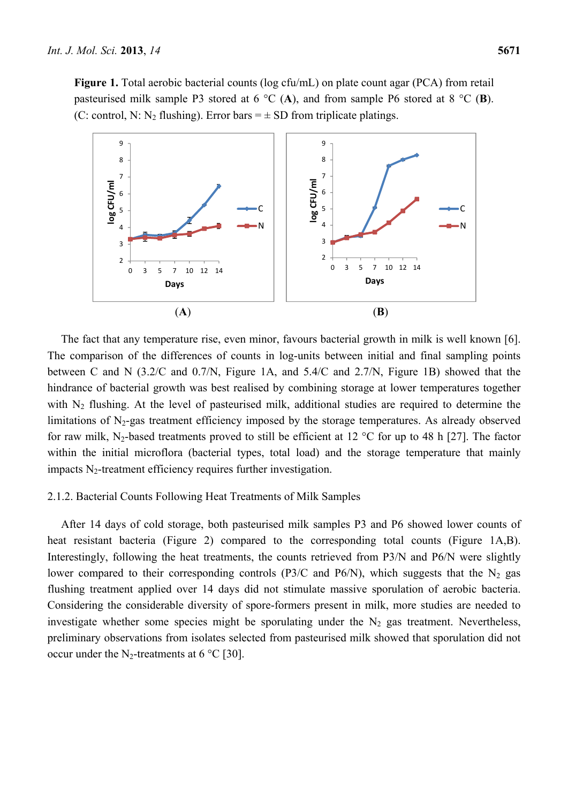Figure 1. Total aerobic bacterial counts (log cfu/mL) on plate count agar (PCA) from retail pasteurised milk sample P3 stored at 6 °C (**A**), and from sample P6 stored at 8 °C (**B**). (C: control, N: N<sub>2</sub> flushing). Error bars  $= \pm SD$  from triplicate platings.



The fact that any temperature rise, even minor, favours bacterial growth in milk is well known [6]. The comparison of the differences of counts in log-units between initial and final sampling points between C and N (3.2/C and 0.7/N, Figure 1A, and 5.4/C and 2.7/N, Figure 1B) showed that the hindrance of bacterial growth was best realised by combining storage at lower temperatures together with  $N_2$  flushing. At the level of pasteurised milk, additional studies are required to determine the limitations of  $N_2$ -gas treatment efficiency imposed by the storage temperatures. As already observed for raw milk, N<sub>2</sub>-based treatments proved to still be efficient at 12  $^{\circ}$ C for up to 48 h [27]. The factor within the initial microflora (bacterial types, total load) and the storage temperature that mainly impacts  $N_2$ -treatment efficiency requires further investigation.

## 2.1.2. Bacterial Counts Following Heat Treatments of Milk Samples

After 14 days of cold storage, both pasteurised milk samples P3 and P6 showed lower counts of heat resistant bacteria (Figure 2) compared to the corresponding total counts (Figure 1A,B). Interestingly, following the heat treatments, the counts retrieved from P3/N and P6/N were slightly lower compared to their corresponding controls (P3/C and P6/N), which suggests that the  $N_2$  gas flushing treatment applied over 14 days did not stimulate massive sporulation of aerobic bacteria. Considering the considerable diversity of spore-formers present in milk, more studies are needed to investigate whether some species might be sporulating under the  $N_2$  gas treatment. Nevertheless, preliminary observations from isolates selected from pasteurised milk showed that sporulation did not occur under the N<sub>2</sub>-treatments at 6 °C [30].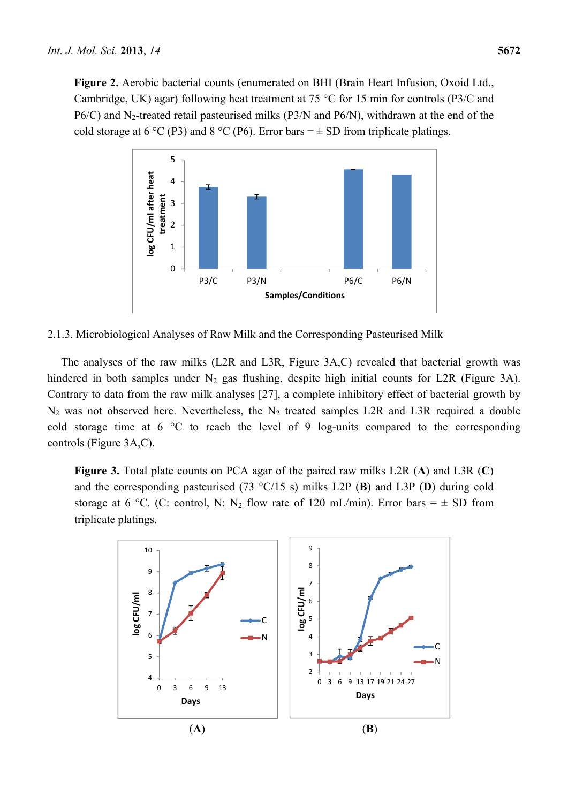**Figure 2.** Aerobic bacterial counts (enumerated on BHI (Brain Heart Infusion, Oxoid Ltd., Cambridge, UK) agar) following heat treatment at 75 °C for 15 min for controls (P3/C and  $P6/C$ ) and N<sub>2</sub>-treated retail pasteurised milks (P3/N and P6/N), withdrawn at the end of the cold storage at 6 °C (P3) and 8 °C (P6). Error bars =  $\pm$  SD from triplicate platings.



2.1.3. Microbiological Analyses of Raw Milk and the Corresponding Pasteurised Milk

The analyses of the raw milks (L2R and L3R, Figure 3A,C) revealed that bacterial growth was hindered in both samples under  $N_2$  gas flushing, despite high initial counts for L2R (Figure 3A). Contrary to data from the raw milk analyses [27], a complete inhibitory effect of bacterial growth by  $N_2$  was not observed here. Nevertheless, the  $N_2$  treated samples L2R and L3R required a double cold storage time at 6 °C to reach the level of 9 log-units compared to the corresponding controls (Figure 3A,C).

**Figure 3.** Total plate counts on PCA agar of the paired raw milks L2R (**A**) and L3R (**C**) and the corresponding pasteurised (73 °C/15 s) milks L2P (**B**) and L3P (**D**) during cold storage at 6 °C. (C: control, N: N<sub>2</sub> flow rate of 120 mL/min). Error bars =  $\pm$  SD from triplicate platings.

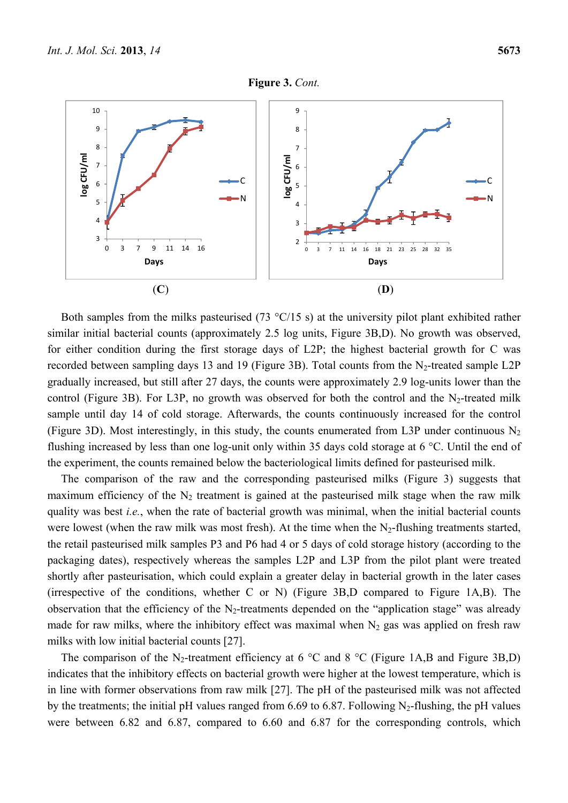



Both samples from the milks pasteurised (73 °C/15 s) at the university pilot plant exhibited rather similar initial bacterial counts (approximately 2.5 log units, Figure 3B,D). No growth was observed, for either condition during the first storage days of L2P; the highest bacterial growth for C was recorded between sampling days 13 and 19 (Figure 3B). Total counts from the N<sub>2</sub>-treated sample L2P gradually increased, but still after 27 days, the counts were approximately 2.9 log-units lower than the control (Figure 3B). For L3P, no growth was observed for both the control and the  $N_2$ -treated milk sample until day 14 of cold storage. Afterwards, the counts continuously increased for the control (Figure 3D). Most interestingly, in this study, the counts enumerated from L3P under continuous  $N_2$ flushing increased by less than one log-unit only within 35 days cold storage at 6 °C. Until the end of the experiment, the counts remained below the bacteriological limits defined for pasteurised milk.

The comparison of the raw and the corresponding pasteurised milks (Figure 3) suggests that maximum efficiency of the  $N_2$  treatment is gained at the pasteurised milk stage when the raw milk quality was best *i.e.*, when the rate of bacterial growth was minimal, when the initial bacterial counts were lowest (when the raw milk was most fresh). At the time when the  $N_2$ -flushing treatments started, the retail pasteurised milk samples P3 and P6 had 4 or 5 days of cold storage history (according to the packaging dates), respectively whereas the samples L2P and L3P from the pilot plant were treated shortly after pasteurisation, which could explain a greater delay in bacterial growth in the later cases (irrespective of the conditions, whether C or N) (Figure 3B,D compared to Figure 1A,B). The observation that the efficiency of the  $N_2$ -treatments depended on the "application stage" was already made for raw milks, where the inhibitory effect was maximal when  $N_2$  gas was applied on fresh raw milks with low initial bacterial counts [27].

The comparison of the N<sub>2</sub>-treatment efficiency at 6  $\degree$ C and 8  $\degree$ C (Figure 1A,B and Figure 3B,D) indicates that the inhibitory effects on bacterial growth were higher at the lowest temperature, which is in line with former observations from raw milk [27]. The pH of the pasteurised milk was not affected by the treatments; the initial pH values ranged from 6.69 to 6.87. Following  $N_2$ -flushing, the pH values were between 6.82 and 6.87, compared to 6.60 and 6.87 for the corresponding controls, which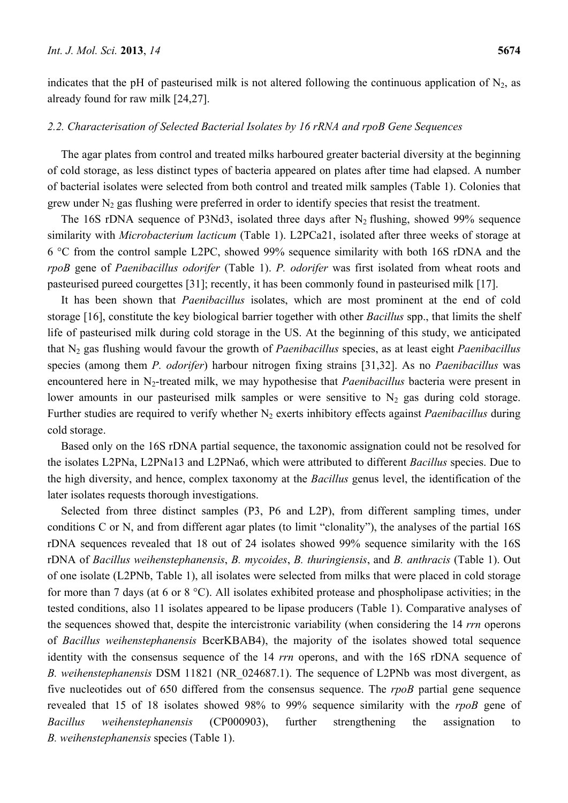indicates that the pH of pasteurised milk is not altered following the continuous application of  $N_2$ , as already found for raw milk [24,27].

#### *2.2. Characterisation of Selected Bacterial Isolates by 16 rRNA and rpoB Gene Sequences*

The agar plates from control and treated milks harboured greater bacterial diversity at the beginning of cold storage, as less distinct types of bacteria appeared on plates after time had elapsed. A number of bacterial isolates were selected from both control and treated milk samples (Table 1). Colonies that grew under  $N_2$  gas flushing were preferred in order to identify species that resist the treatment.

The 16S rDNA sequence of P3Nd3, isolated three days after  $N_2$  flushing, showed 99% sequence similarity with *Microbacterium lacticum* (Table 1). L2PCa21, isolated after three weeks of storage at 6 °C from the control sample L2PC, showed 99% sequence similarity with both 16S rDNA and the *rpoB* gene of *Paenibacillus odorifer* (Table 1). *P. odorifer* was first isolated from wheat roots and pasteurised pureed courgettes [31]; recently, it has been commonly found in pasteurised milk [17].

It has been shown that *Paenibacillus* isolates, which are most prominent at the end of cold storage [16], constitute the key biological barrier together with other *Bacillus* spp., that limits the shelf life of pasteurised milk during cold storage in the US. At the beginning of this study, we anticipated that N2 gas flushing would favour the growth of *Paenibacillus* species, as at least eight *Paenibacillus* species (among them *P. odorifer*) harbour nitrogen fixing strains [31,32]. As no *Paenibacillus* was encountered here in N<sub>2</sub>-treated milk, we may hypothesise that *Paenibacillus* bacteria were present in lower amounts in our pasteurised milk samples or were sensitive to  $N_2$  gas during cold storage. Further studies are required to verify whether N<sub>2</sub> exerts inhibitory effects against *Paenibacillus* during cold storage.

Based only on the 16S rDNA partial sequence, the taxonomic assignation could not be resolved for the isolates L2PNa, L2PNa13 and L2PNa6, which were attributed to different *Bacillus* species. Due to the high diversity, and hence, complex taxonomy at the *Bacillus* genus level, the identification of the later isolates requests thorough investigations.

Selected from three distinct samples (P3, P6 and L2P), from different sampling times, under conditions C or N, and from different agar plates (to limit "clonality"), the analyses of the partial 16S rDNA sequences revealed that 18 out of 24 isolates showed 99% sequence similarity with the 16S rDNA of *Bacillus weihenstephanensis*, *B. mycoides*, *B. thuringiensis*, and *B. anthracis* (Table 1). Out of one isolate (L2PNb, Table 1), all isolates were selected from milks that were placed in cold storage for more than 7 days (at 6 or 8 °C). All isolates exhibited protease and phospholipase activities; in the tested conditions, also 11 isolates appeared to be lipase producers (Table 1). Comparative analyses of the sequences showed that, despite the intercistronic variability (when considering the 14 *rrn* operons of *Bacillus weihenstephanensis* BcerKBAB4), the majority of the isolates showed total sequence identity with the consensus sequence of the 14 *rrn* operons, and with the 16S rDNA sequence of *B. weihenstephanensis* DSM 11821 (NR\_024687.1). The sequence of L2PNb was most divergent, as five nucleotides out of 650 differed from the consensus sequence. The *rpoB* partial gene sequence revealed that 15 of 18 isolates showed 98% to 99% sequence similarity with the *rpoB* gene of *Bacillus weihenstephanensis* (CP000903), further strengthening the assignation to *B. weihenstephanensis* species (Table 1).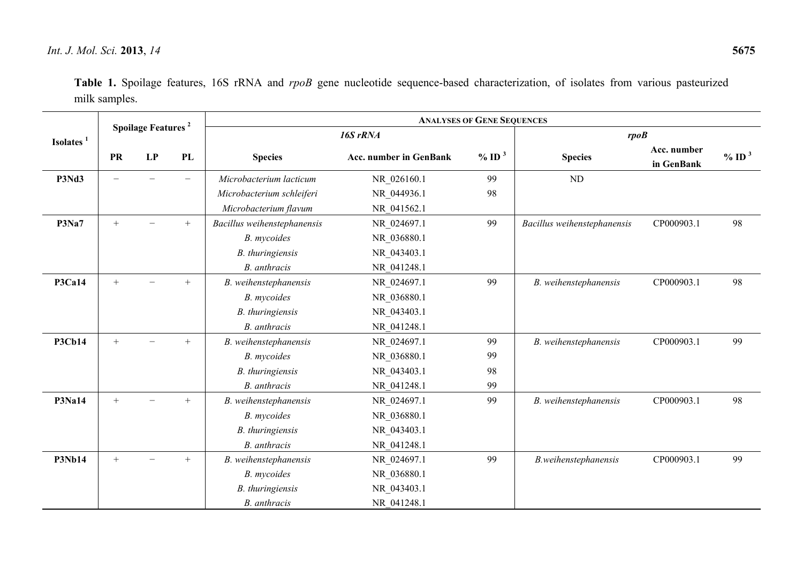| Table 1. Spoilage features, 16S rRNA and rpoB gene nucleotide sequence-based characterization, of isolates from various pasteurized |  |  |  |  |  |  |  |
|-------------------------------------------------------------------------------------------------------------------------------------|--|--|--|--|--|--|--|
| milk samples.                                                                                                                       |  |  |  |  |  |  |  |

|                       | <b>Spoilage Features<sup>2</sup></b> |    | <b>ANALYSES OF GENE SEQUENCES</b> |                             |                               |                      |                             |                           |                      |  |  |
|-----------------------|--------------------------------------|----|-----------------------------------|-----------------------------|-------------------------------|----------------------|-----------------------------|---------------------------|----------------------|--|--|
| Isolates <sup>1</sup> |                                      |    |                                   |                             | 16S rRNA                      | rpoB                 |                             |                           |                      |  |  |
|                       | <b>PR</b>                            | LP | PL                                | <b>Species</b>              | <b>Acc. number in GenBank</b> | $\%$ ID <sup>3</sup> | <b>Species</b>              | Acc. number<br>in GenBank | $\%$ ID <sup>3</sup> |  |  |
| P3Nd3                 | $\overline{\phantom{0}}$             |    | $\overline{\phantom{0}}$          | Microbacterium lacticum     | NR 026160.1                   | 99                   | ND                          |                           |                      |  |  |
|                       |                                      |    |                                   | Microbacterium schleiferi   | NR 044936.1                   | 98                   |                             |                           |                      |  |  |
|                       |                                      |    |                                   | Microbacterium flavum       | NR 041562.1                   |                      |                             |                           |                      |  |  |
| P3Na7                 | $+$                                  |    | $+$                               | Bacillus weihenstephanensis | NR_024697.1                   | 99                   | Bacillus weihenstephanensis | CP000903.1                | 98                   |  |  |
|                       |                                      |    |                                   | B. mycoides                 | NR_036880.1                   |                      |                             |                           |                      |  |  |
|                       |                                      |    |                                   | B. thuringiensis            | NR_043403.1                   |                      |                             |                           |                      |  |  |
|                       |                                      |    |                                   | B. anthracis                | NR 041248.1                   |                      |                             |                           |                      |  |  |
| <b>P3Ca14</b>         | $+$                                  |    | $+$                               | B. weihenstephanensis       | NR_024697.1                   | 99                   | B. weihenstephanensis       | CP000903.1                | 98                   |  |  |
|                       |                                      |    |                                   | B. mycoides                 | NR_036880.1                   |                      |                             |                           |                      |  |  |
|                       |                                      |    |                                   | B. thuringiensis            | NR 043403.1                   |                      |                             |                           |                      |  |  |
|                       |                                      |    |                                   | B. anthracis                | NR 041248.1                   |                      |                             |                           |                      |  |  |
| <b>P3Cb14</b>         | $+$                                  |    | $+$                               | B. weihenstephanensis       | NR 024697.1                   | 99                   | B. weihenstephanensis       | CP000903.1                | 99                   |  |  |
|                       |                                      |    |                                   | B. mycoides                 | NR_036880.1                   | 99                   |                             |                           |                      |  |  |
|                       |                                      |    |                                   | B. thuringiensis            | NR 043403.1                   | 98                   |                             |                           |                      |  |  |
|                       |                                      |    |                                   | B. anthracis                | NR 041248.1                   | 99                   |                             |                           |                      |  |  |
| <b>P3Na14</b>         | $+$                                  |    | $+$                               | B. weihenstephanensis       | NR 024697.1                   | 99                   | B. weihenstephanensis       | CP000903.1                | 98                   |  |  |
|                       |                                      |    |                                   | B. mycoides                 | NR_036880.1                   |                      |                             |                           |                      |  |  |
|                       |                                      |    |                                   | B. thuringiensis            | NR 043403.1                   |                      |                             |                           |                      |  |  |
|                       |                                      |    |                                   | B. anthracis                | NR 041248.1                   |                      |                             |                           |                      |  |  |
| <b>P3Nb14</b>         | $+$                                  |    | $+$                               | B. weihenstephanensis       | NR 024697.1                   | 99                   | B.weihenstephanensis        | CP000903.1                | 99                   |  |  |
|                       |                                      |    |                                   | B. mycoides                 | NR_036880.1                   |                      |                             |                           |                      |  |  |
|                       |                                      |    |                                   | B. thuringiensis            | NR_043403.1                   |                      |                             |                           |                      |  |  |
|                       |                                      |    |                                   | B. anthracis                | NR 041248.1                   |                      |                             |                           |                      |  |  |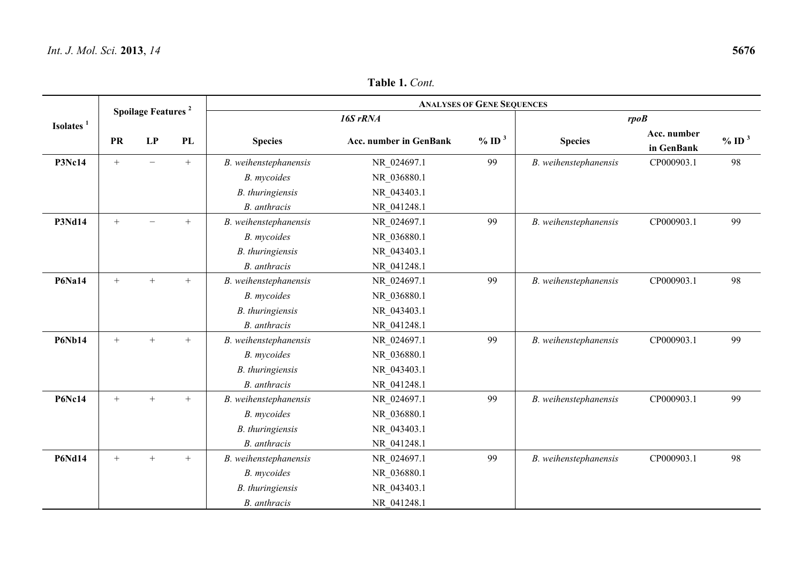|                       | <b>Spoilage Features</b> <sup>2</sup> |        |     | <b>ANALYSES OF GENE SEQUENCES</b> |                               |                      |                       |                           |                      |  |  |  |
|-----------------------|---------------------------------------|--------|-----|-----------------------------------|-------------------------------|----------------------|-----------------------|---------------------------|----------------------|--|--|--|
| Isolates <sup>1</sup> |                                       |        |     |                                   | 16S rRNA                      |                      | rpoB                  |                           |                      |  |  |  |
|                       | <b>PR</b>                             | LP     | PL  | <b>Species</b>                    | <b>Acc. number in GenBank</b> | $\%$ ID <sup>3</sup> | <b>Species</b>        | Acc. number<br>in GenBank | $\%$ ID <sup>3</sup> |  |  |  |
| <b>P3Nc14</b>         | $+$                                   |        | $+$ | B. weihenstephanensis             | NR_024697.1                   | 99                   | B. weihenstephanensis | CP000903.1                | 98                   |  |  |  |
|                       |                                       |        |     | B. mycoides                       | NR_036880.1                   |                      |                       |                           |                      |  |  |  |
|                       |                                       |        |     | B. thuringiensis                  | NR_043403.1                   |                      |                       |                           |                      |  |  |  |
|                       |                                       |        |     | B. anthracis                      | NR 041248.1                   |                      |                       |                           |                      |  |  |  |
| <b>P3Nd14</b>         | $+$                                   |        | $+$ | B. weihenstephanensis             | NR 024697.1                   | 99                   | B. weihenstephanensis | CP000903.1                | 99                   |  |  |  |
|                       |                                       |        |     | B. mycoides                       | NR 036880.1                   |                      |                       |                           |                      |  |  |  |
|                       |                                       |        |     | B. thuringiensis                  | NR_043403.1                   |                      |                       |                           |                      |  |  |  |
|                       |                                       |        |     | <b>B.</b> anthracis               | NR 041248.1                   |                      |                       |                           |                      |  |  |  |
| <b>P6Na14</b>         | $+$                                   | $^{+}$ | $+$ | B. weihenstephanensis             | NR 024697.1                   | 99                   | B. weihenstephanensis | CP000903.1                | 98                   |  |  |  |
|                       |                                       |        |     | B. mycoides                       | NR 036880.1                   |                      |                       |                           |                      |  |  |  |
|                       |                                       |        |     | B. thuringiensis                  | NR 043403.1                   |                      |                       |                           |                      |  |  |  |
|                       |                                       |        |     | B. anthracis                      | NR 041248.1                   |                      |                       |                           |                      |  |  |  |
| <b>P6Nb14</b>         | $^{+}$                                | $+$    | $+$ | B. weihenstephanensis             | NR 024697.1                   | 99                   | B. weihenstephanensis | CP000903.1                | 99                   |  |  |  |
|                       |                                       |        |     | B. mycoides                       | NR 036880.1                   |                      |                       |                           |                      |  |  |  |
|                       |                                       |        |     | B. thuringiensis                  | NR 043403.1                   |                      |                       |                           |                      |  |  |  |
|                       |                                       |        |     | B. anthracis                      | NR 041248.1                   |                      |                       |                           |                      |  |  |  |
| <b>P6Nc14</b>         | $+$                                   | $+$    | $+$ | B. weihenstephanensis             | NR_024697.1                   | 99                   | B. weihenstephanensis | CP000903.1                | 99                   |  |  |  |
|                       |                                       |        |     | B. mycoides                       | NR_036880.1                   |                      |                       |                           |                      |  |  |  |
|                       |                                       |        |     | B. thuringiensis                  | NR 043403.1                   |                      |                       |                           |                      |  |  |  |
|                       |                                       |        |     | B. anthracis                      | NR 041248.1                   |                      |                       |                           |                      |  |  |  |
| <b>P6Nd14</b>         | $^{+}$                                | $+$    | $+$ | B. weihenstephanensis             | NR_024697.1                   | 99                   | B. weihenstephanensis | CP000903.1                | 98                   |  |  |  |
|                       |                                       |        |     | B. mycoides                       | NR_036880.1                   |                      |                       |                           |                      |  |  |  |
|                       |                                       |        |     | B. thuringiensis                  | NR 043403.1                   |                      |                       |                           |                      |  |  |  |
|                       |                                       |        |     | B. anthracis                      | NR 041248.1                   |                      |                       |                           |                      |  |  |  |

**Table 1.** *Cont.*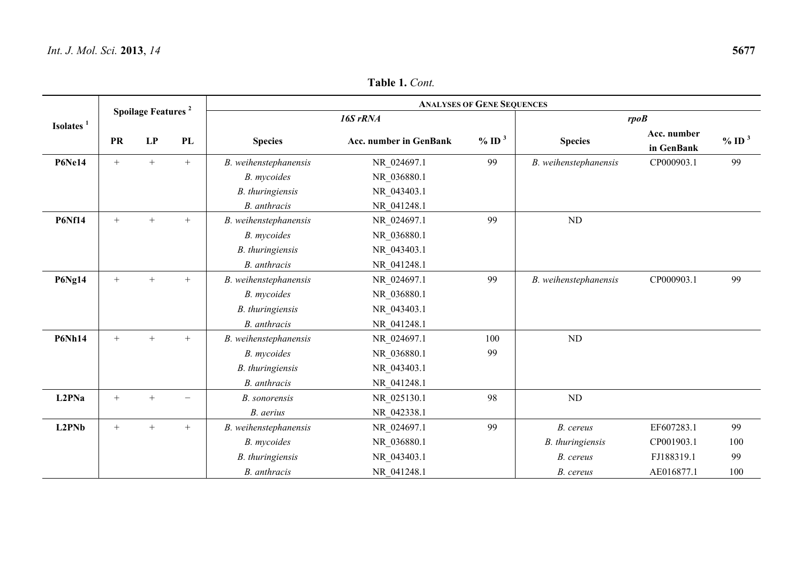| Spoilage Features <sup>2</sup> |           |        |        | <b>ANALYSES OF GENE SEQUENCES</b> |                               |                      |                       |                           |                      |  |  |  |
|--------------------------------|-----------|--------|--------|-----------------------------------|-------------------------------|----------------------|-----------------------|---------------------------|----------------------|--|--|--|
| Isolates <sup>1</sup>          |           |        |        |                                   | 16S rRNA                      |                      | rpoB                  |                           |                      |  |  |  |
|                                | <b>PR</b> | LP     | PL     | <b>Species</b>                    | <b>Acc. number in GenBank</b> | $\%$ ID <sup>3</sup> | <b>Species</b>        | Acc. number<br>in GenBank | $\%$ ID <sup>3</sup> |  |  |  |
| <b>P6Ne14</b>                  | $^{+}$    | $+$    | $+$    | B. weihenstephanensis             | NR 024697.1                   | 99                   | B. weihenstephanensis | CP000903.1                | 99                   |  |  |  |
|                                |           |        |        | B. mycoides                       | NR_036880.1                   |                      |                       |                           |                      |  |  |  |
|                                |           |        |        | B. thuringiensis                  | NR_043403.1                   |                      |                       |                           |                      |  |  |  |
|                                |           |        |        | B. anthracis                      | NR 041248.1                   |                      |                       |                           |                      |  |  |  |
| <b>P6Nf14</b>                  | $^{+}$    | $+$    | $+$    | B. weihenstephanensis             | NR 024697.1                   | 99                   | $\rm ND$              |                           |                      |  |  |  |
|                                |           |        |        | B. mycoides                       | NR 036880.1                   |                      |                       |                           |                      |  |  |  |
|                                |           |        |        | B. thuringiensis                  | NR 043403.1                   |                      |                       |                           |                      |  |  |  |
|                                |           |        |        | B. anthracis                      | NR 041248.1                   |                      |                       |                           |                      |  |  |  |
| <b>P6Ng14</b>                  | $^{+}$    | $+$    | $^{+}$ | B. weihenstephanensis             | NR_024697.1                   | 99                   | B. weihenstephanensis | CP000903.1                | 99                   |  |  |  |
|                                |           |        |        | B. mycoides                       | NR_036880.1                   |                      |                       |                           |                      |  |  |  |
|                                |           |        |        | B. thuringiensis                  | NR 043403.1                   |                      |                       |                           |                      |  |  |  |
|                                |           |        |        | B. anthracis                      | NR 041248.1                   |                      |                       |                           |                      |  |  |  |
| <b>P6Nh14</b>                  | $^{+}$    | $+$    | $+$    | B. weihenstephanensis             | NR_024697.1                   | 100                  | ND                    |                           |                      |  |  |  |
|                                |           |        |        | B. mycoides                       | NR_036880.1                   | 99                   |                       |                           |                      |  |  |  |
|                                |           |        |        | B. thuringiensis                  | NR_043403.1                   |                      |                       |                           |                      |  |  |  |
|                                |           |        |        | B. anthracis                      | NR 041248.1                   |                      |                       |                           |                      |  |  |  |
| L2PNa                          | $+$       | $^{+}$ |        | B. sonorensis                     | NR 025130.1                   | 98                   | $\rm ND$              |                           |                      |  |  |  |
|                                |           |        |        | B. aerius                         | NR 042338.1                   |                      |                       |                           |                      |  |  |  |
| L2PNb                          | $^{+}$    | $+$    | $+$    | B. weihenstephanensis             | NR 024697.1                   | 99                   | B. cereus             | EF607283.1                | 99                   |  |  |  |
|                                |           |        |        | B. mycoides                       | NR 036880.1                   |                      | B. thuringiensis      | CP001903.1                | 100                  |  |  |  |
|                                |           |        |        | B. thuringiensis                  | NR_043403.1                   |                      | B. cereus             | FJ188319.1                | 99                   |  |  |  |
|                                |           |        |        | B. anthracis                      | NR 041248.1                   |                      | B. cereus             | AE016877.1                | 100                  |  |  |  |

**Table 1.** *Cont.*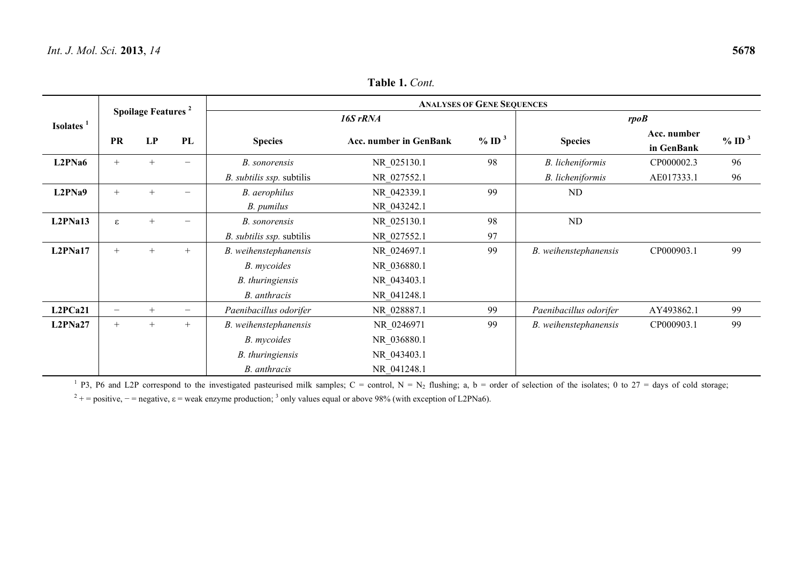|         | Spoilage Features <sup>2</sup>                 |        |                | <b>ANALYSES OF GENE SEQUENCES</b> |                     |                |                           |                     |    |  |  |  |
|---------|------------------------------------------------|--------|----------------|-----------------------------------|---------------------|----------------|---------------------------|---------------------|----|--|--|--|
|         | Isolates <sup>1</sup><br>LP<br>PL<br><b>PR</b> |        |                | 16S rRNA                          | rpoB                |                |                           |                     |    |  |  |  |
|         |                                                |        | <b>Species</b> | Acc. number in GenBank            | $%$ ID <sup>3</sup> | <b>Species</b> | Acc. number<br>in GenBank | $%$ ID <sup>3</sup> |    |  |  |  |
| L2PNa6  | $^{+}$                                         |        |                | B. sonorensis                     | NR 025130.1         | 98             | B. licheniformis          | CP000002.3          | 96 |  |  |  |
|         |                                                |        |                | B. subtilis ssp. subtilis         | NR 027552.1         |                | B. licheniformis          | AE017333.1          | 96 |  |  |  |
| L2PNa9  | $^{+}$                                         |        |                | B. aerophilus                     | NR 042339.1         | 99             | ND                        |                     |    |  |  |  |
|         |                                                |        |                | B. pumilus                        | NR 043242.1         |                |                           |                     |    |  |  |  |
| L2PNa13 | ε                                              |        |                | B. sonorensis                     | NR 025130.1         | 98             | ND                        |                     |    |  |  |  |
|         |                                                |        |                | B. subtilis ssp. subtilis         | NR 027552.1         | 97             |                           |                     |    |  |  |  |
| L2PNa17 | $^{+}$                                         | $^{+}$ | $+$            | B. weihenstephanensis             | NR_024697.1         | 99             | B. weihenstephanensis     | CP000903.1          | 99 |  |  |  |
|         |                                                |        |                | B. mycoides                       | NR_036880.1         |                |                           |                     |    |  |  |  |
|         |                                                |        |                | B. thuringiensis                  | NR_043403.1         |                |                           |                     |    |  |  |  |
|         |                                                |        |                | B. anthracis                      | NR 041248.1         |                |                           |                     |    |  |  |  |
| L2PCa21 | $\overline{\phantom{0}}$                       | $+$    |                | Paenibacillus odorifer            | NR 028887.1         | 99             | Paenibacillus odorifer    | AY493862.1          | 99 |  |  |  |
| L2PNa27 | $^{+}$                                         | $+$    | $^{+}$         | B. weihenstephanensis             | NR_0246971          | 99             | B. weihenstephanensis     | CP000903.1          | 99 |  |  |  |
|         |                                                |        |                | B. mycoides                       | NR_036880.1         |                |                           |                     |    |  |  |  |
|         |                                                |        |                | B. thuringiensis                  | NR_043403.1         |                |                           |                     |    |  |  |  |
|         |                                                |        |                | B. anthracis                      | NR 041248.1         |                |                           |                     |    |  |  |  |

**Table 1.** *Cont.*

<sup>1</sup> P3, P6 and L2P correspond to the investigated pasteurised milk samples; C = control, N = N<sub>2</sub> flushing; a, b = order of selection of the isolates; 0 to 27 = days of cold storage;

<sup>2</sup> + = positive, - = negative,  $\varepsilon$  = weak enzyme production;<sup>3</sup> only values equal or above 98% (with exception of L2PNa6).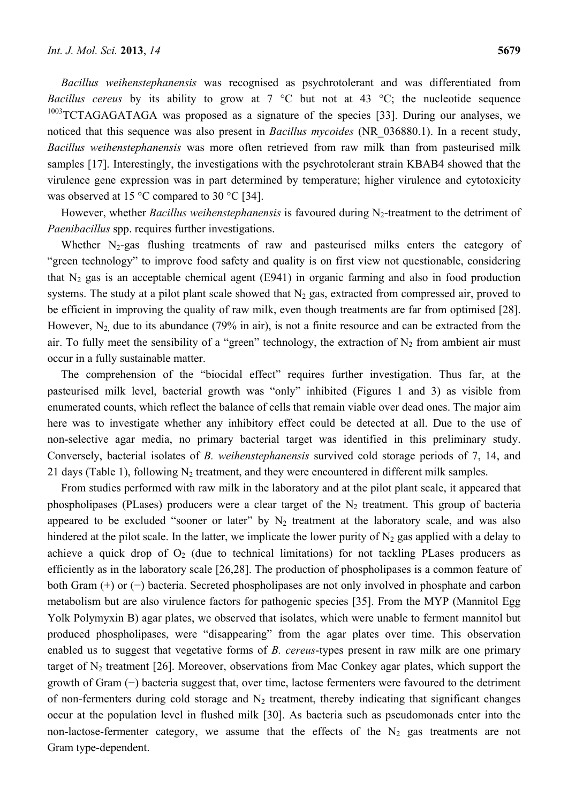*Bacillus weihenstephanensis* was recognised as psychrotolerant and was differentiated from *Bacillus cereus* by its ability to grow at 7 °C but not at 43 °C; the nucleotide sequence  $1003$ TCTAGAGATAGA was proposed as a signature of the species [33]. During our analyses, we noticed that this sequence was also present in *Bacillus mycoides* (NR\_036880.1). In a recent study, *Bacillus weihenstephanensis* was more often retrieved from raw milk than from pasteurised milk samples [17]. Interestingly, the investigations with the psychrotolerant strain KBAB4 showed that the virulence gene expression was in part determined by temperature; higher virulence and cytotoxicity was observed at 15 °C compared to 30 °C [34].

However, whether *Bacillus weihenstephanensis* is favoured during N<sub>2</sub>-treatment to the detriment of *Paenibacillus* spp. requires further investigations.

Whether  $N_2$ -gas flushing treatments of raw and pasteurised milks enters the category of "green technology" to improve food safety and quality is on first view not questionable, considering that  $N_2$  gas is an acceptable chemical agent (E941) in organic farming and also in food production systems. The study at a pilot plant scale showed that  $N_2$  gas, extracted from compressed air, proved to be efficient in improving the quality of raw milk, even though treatments are far from optimised [28]. However,  $N_2$  due to its abundance (79% in air), is not a finite resource and can be extracted from the air. To fully meet the sensibility of a "green" technology, the extraction of  $N_2$  from ambient air must occur in a fully sustainable matter.

The comprehension of the "biocidal effect" requires further investigation. Thus far, at the pasteurised milk level, bacterial growth was "only" inhibited (Figures 1 and 3) as visible from enumerated counts, which reflect the balance of cells that remain viable over dead ones. The major aim here was to investigate whether any inhibitory effect could be detected at all. Due to the use of non-selective agar media, no primary bacterial target was identified in this preliminary study. Conversely, bacterial isolates of *B. weihenstephanensis* survived cold storage periods of 7, 14, and 21 days (Table 1), following  $N_2$  treatment, and they were encountered in different milk samples.

From studies performed with raw milk in the laboratory and at the pilot plant scale, it appeared that phospholipases (PLases) producers were a clear target of the  $N_2$  treatment. This group of bacteria appeared to be excluded "sooner or later" by  $N_2$  treatment at the laboratory scale, and was also hindered at the pilot scale. In the latter, we implicate the lower purity of  $N_2$  gas applied with a delay to achieve a quick drop of  $O_2$  (due to technical limitations) for not tackling PLases producers as efficiently as in the laboratory scale [26,28]. The production of phospholipases is a common feature of both Gram (+) or (−) bacteria. Secreted phospholipases are not only involved in phosphate and carbon metabolism but are also virulence factors for pathogenic species [35]. From the MYP (Mannitol Egg Yolk Polymyxin B) agar plates, we observed that isolates, which were unable to ferment mannitol but produced phospholipases, were "disappearing" from the agar plates over time. This observation enabled us to suggest that vegetative forms of *B. cereus*-types present in raw milk are one primary target of  $N_2$  treatment [26]. Moreover, observations from Mac Conkey agar plates, which support the growth of Gram (−) bacteria suggest that, over time, lactose fermenters were favoured to the detriment of non-fermenters during cold storage and  $N_2$  treatment, thereby indicating that significant changes occur at the population level in flushed milk [30]. As bacteria such as pseudomonads enter into the non-lactose-fermenter category, we assume that the effects of the  $N_2$  gas treatments are not Gram type-dependent.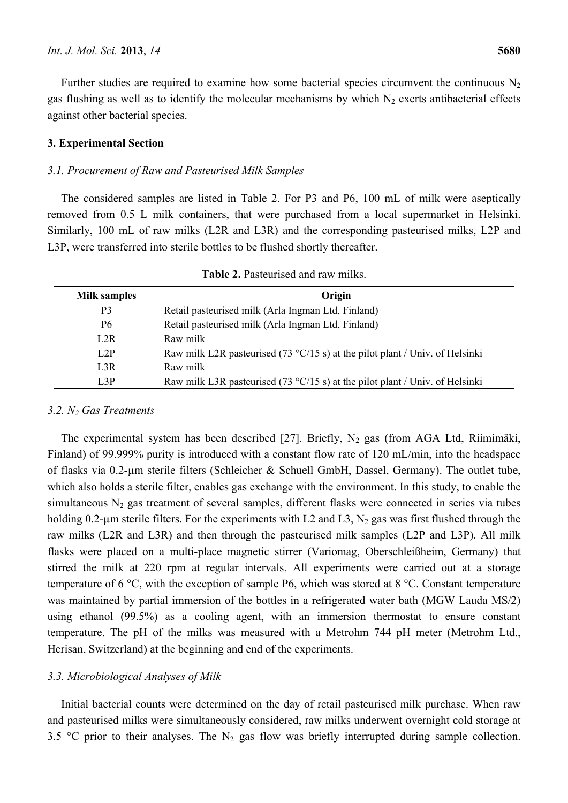Further studies are required to examine how some bacterial species circumvent the continuous  $N_2$ gas flushing as well as to identify the molecular mechanisms by which  $N_2$  exerts antibacterial effects against other bacterial species.

## **3. Experimental Section**

## *3.1. Procurement of Raw and Pasteurised Milk Samples*

The considered samples are listed in Table 2. For P3 and P6, 100 mL of milk were aseptically removed from 0.5 L milk containers, that were purchased from a local supermarket in Helsinki. Similarly, 100 mL of raw milks (L2R and L3R) and the corresponding pasteurised milks, L2P and L3P, were transferred into sterile bottles to be flushed shortly thereafter.

| <b>Milk samples</b> | Origin                                                                                |
|---------------------|---------------------------------------------------------------------------------------|
| P <sub>3</sub>      | Retail pasteurised milk (Arla Ingman Ltd, Finland)                                    |
| P <sub>6</sub>      | Retail pasteurised milk (Arla Ingman Ltd, Finland)                                    |
| L2R                 | Raw milk                                                                              |
| L2P                 | Raw milk L2R pasteurised (73 $\degree$ C/15 s) at the pilot plant / Univ. of Helsinki |
| L3R                 | Raw milk                                                                              |
| L3P                 | Raw milk L3R pasteurised (73 $\degree$ C/15 s) at the pilot plant / Univ. of Helsinki |

**Table 2.** Pasteurised and raw milks.

#### *3.2. N2 Gas Treatments*

The experimental system has been described [27]. Briefly,  $N_2$  gas (from AGA Ltd, Riimimäki, Finland) of 99.999% purity is introduced with a constant flow rate of 120 mL/min, into the headspace of flasks via 0.2-µm sterile filters (Schleicher & Schuell GmbH, Dassel, Germany). The outlet tube, which also holds a sterile filter, enables gas exchange with the environment. In this study, to enable the simultaneous  $N_2$  gas treatment of several samples, different flasks were connected in series via tubes holding 0.2-µm sterile filters. For the experiments with L2 and L3,  $N_2$  gas was first flushed through the raw milks (L2R and L3R) and then through the pasteurised milk samples (L2P and L3P). All milk flasks were placed on a multi-place magnetic stirrer (Variomag, Oberschleißheim, Germany) that stirred the milk at 220 rpm at regular intervals. All experiments were carried out at a storage temperature of 6 °C, with the exception of sample P6, which was stored at 8 °C. Constant temperature was maintained by partial immersion of the bottles in a refrigerated water bath (MGW Lauda MS/2) using ethanol (99.5%) as a cooling agent, with an immersion thermostat to ensure constant temperature. The pH of the milks was measured with a Metrohm 744 pH meter (Metrohm Ltd., Herisan, Switzerland) at the beginning and end of the experiments.

# *3.3. Microbiological Analyses of Milk*

Initial bacterial counts were determined on the day of retail pasteurised milk purchase. When raw and pasteurised milks were simultaneously considered, raw milks underwent overnight cold storage at 3.5 °C prior to their analyses. The  $N_2$  gas flow was briefly interrupted during sample collection.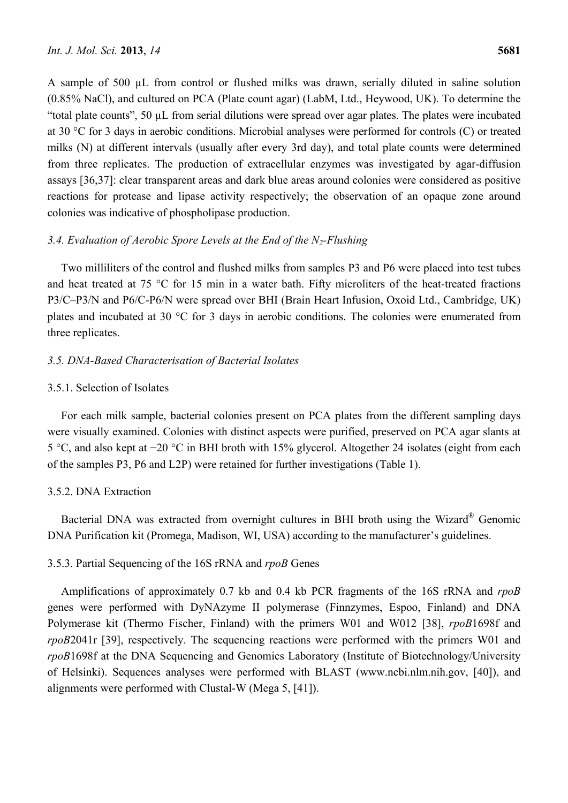A sample of 500 µL from control or flushed milks was drawn, serially diluted in saline solution (0.85% NaCl), and cultured on PCA (Plate count agar) (LabM, Ltd., Heywood, UK). To determine the "total plate counts", 50 µL from serial dilutions were spread over agar plates. The plates were incubated at 30 °C for 3 days in aerobic conditions. Microbial analyses were performed for controls (C) or treated milks (N) at different intervals (usually after every 3rd day), and total plate counts were determined from three replicates. The production of extracellular enzymes was investigated by agar-diffusion assays [36,37]: clear transparent areas and dark blue areas around colonies were considered as positive reactions for protease and lipase activity respectively; the observation of an opaque zone around colonies was indicative of phospholipase production.

# *3.4. Evaluation of Aerobic Spore Levels at the End of the N2-Flushing*

Two milliliters of the control and flushed milks from samples P3 and P6 were placed into test tubes and heat treated at 75 °C for 15 min in a water bath. Fifty microliters of the heat-treated fractions P3/C–P3/N and P6/C-P6/N were spread over BHI (Brain Heart Infusion, Oxoid Ltd., Cambridge, UK) plates and incubated at 30 °C for 3 days in aerobic conditions. The colonies were enumerated from three replicates.

# *3.5. DNA-Based Characterisation of Bacterial Isolates*

## 3.5.1. Selection of Isolates

For each milk sample, bacterial colonies present on PCA plates from the different sampling days were visually examined. Colonies with distinct aspects were purified, preserved on PCA agar slants at 5 °C, and also kept at −20 °C in BHI broth with 15% glycerol. Altogether 24 isolates (eight from each of the samples P3, P6 and L2P) were retained for further investigations (Table 1).

# 3.5.2. DNA Extraction

Bacterial DNA was extracted from overnight cultures in BHI broth using the Wizard® Genomic DNA Purification kit (Promega, Madison, WI, USA) according to the manufacturer's guidelines.

## 3.5.3. Partial Sequencing of the 16S rRNA and *rpoB* Genes

Amplifications of approximately 0.7 kb and 0.4 kb PCR fragments of the 16S rRNA and *rpoB* genes were performed with DyNAzyme II polymerase (Finnzymes, Espoo, Finland) and DNA Polymerase kit (Thermo Fischer, Finland) with the primers W01 and W012 [38], *rpoB*1698f and *rpoB*2041r [39], respectively. The sequencing reactions were performed with the primers W01 and *rpoB*1698f at the DNA Sequencing and Genomics Laboratory (Institute of Biotechnology/University of Helsinki). Sequences analyses were performed with BLAST (www.ncbi.nlm.nih.gov, [40]), and alignments were performed with Clustal-W (Mega 5, [41]).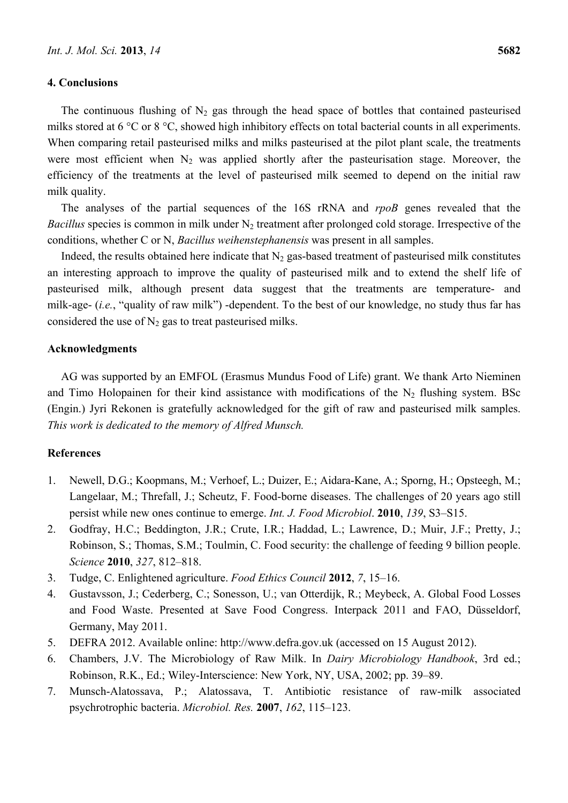### **4. Conclusions**

The continuous flushing of  $N_2$  gas through the head space of bottles that contained pasteurised milks stored at 6 °C or 8 °C, showed high inhibitory effects on total bacterial counts in all experiments. When comparing retail pasteurised milks and milks pasteurised at the pilot plant scale, the treatments were most efficient when  $N_2$  was applied shortly after the pasteurisation stage. Moreover, the efficiency of the treatments at the level of pasteurised milk seemed to depend on the initial raw milk quality.

The analyses of the partial sequences of the 16S rRNA and *rpoB* genes revealed that the *Bacillus* species is common in milk under  $N_2$  treatment after prolonged cold storage. Irrespective of the conditions, whether C or N, *Bacillus weihenstephanensis* was present in all samples.

Indeed, the results obtained here indicate that  $N_2$  gas-based treatment of pasteurised milk constitutes an interesting approach to improve the quality of pasteurised milk and to extend the shelf life of pasteurised milk, although present data suggest that the treatments are temperature- and milk-age- (*i.e.*, "quality of raw milk") -dependent. To the best of our knowledge, no study thus far has considered the use of  $N_2$  gas to treat pasteurised milks.

## **Acknowledgments**

AG was supported by an EMFOL (Erasmus Mundus Food of Life) grant. We thank Arto Nieminen and Timo Holopainen for their kind assistance with modifications of the  $N_2$  flushing system. BSc (Engin.) Jyri Rekonen is gratefully acknowledged for the gift of raw and pasteurised milk samples. *This work is dedicated to the memory of Alfred Munsch.* 

# **References**

- 1. Newell, D.G.; Koopmans, M.; Verhoef, L.; Duizer, E.; Aidara-Kane, A.; Sporng, H.; Opsteegh, M.; Langelaar, M.; Threfall, J.; Scheutz, F. Food-borne diseases. The challenges of 20 years ago still persist while new ones continue to emerge. *Int. J. Food Microbiol*. **2010**, *139*, S3–S15.
- 2. Godfray, H.C.; Beddington, J.R.; Crute, I.R.; Haddad, L.; Lawrence, D.; Muir, J.F.; Pretty, J.; Robinson, S.; Thomas, S.M.; Toulmin, C. Food security: the challenge of feeding 9 billion people. *Science* **2010**, *327*, 812–818.
- 3. Tudge, C. Enlightened agriculture. *Food Ethics Council* **2012**, *7*, 15–16.
- 4. Gustavsson, J.; Cederberg, C.; Sonesson, U.; van Otterdijk, R.; Meybeck, A. Global Food Losses and Food Waste. Presented at Save Food Congress. Interpack 2011 and FAO, Düsseldorf, Germany, May 2011.
- 5. DEFRA 2012. Available online: http://www.defra.gov.uk (accessed on 15 August 2012).
- 6. Chambers, J.V. The Microbiology of Raw Milk. In *Dairy Microbiology Handbook*, 3rd ed.; Robinson, R.K., Ed.; Wiley-Interscience: New York, NY, USA, 2002; pp. 39–89.
- 7. Munsch-Alatossava, P.; Alatossava, T. Antibiotic resistance of raw-milk associated psychrotrophic bacteria. *Microbiol. Res.* **2007**, *162*, 115–123.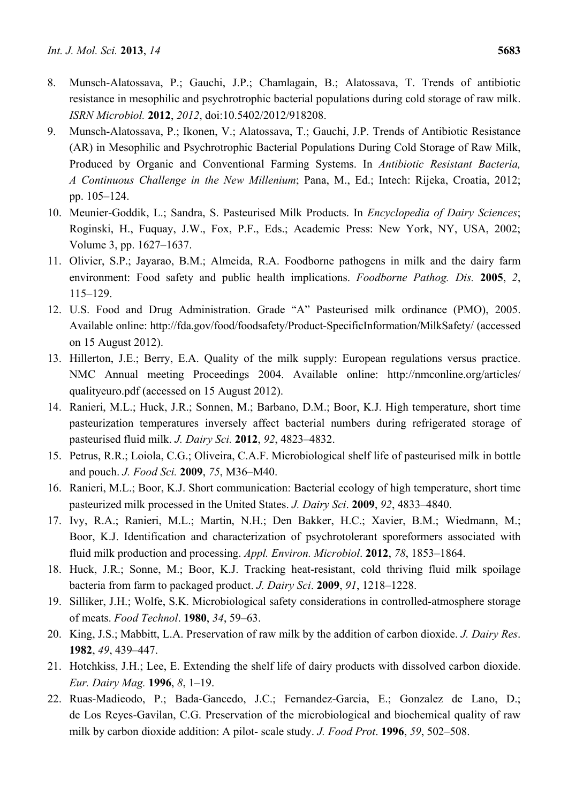- 8. Munsch-Alatossava, P.; Gauchi, J.P.; Chamlagain, B.; Alatossava, T. Trends of antibiotic resistance in mesophilic and psychrotrophic bacterial populations during cold storage of raw milk. *ISRN Microbiol.* **2012**, *2012*, doi:10.5402/2012/918208.
- 9. Munsch-Alatossava, P.; Ikonen, V.; Alatossava, T.; Gauchi, J.P. Trends of Antibiotic Resistance (AR) in Mesophilic and Psychrotrophic Bacterial Populations During Cold Storage of Raw Milk, Produced by Organic and Conventional Farming Systems. In *Antibiotic Resistant Bacteria, A Continuous Challenge in the New Millenium*; Pana, M., Ed.; Intech: Rijeka, Croatia, 2012; pp. 105–124.
- 10. Meunier-Goddik, L.; Sandra, S. Pasteurised Milk Products. In *Encyclopedia of Dairy Sciences*; Roginski, H., Fuquay, J.W., Fox, P.F., Eds.; Academic Press: New York, NY, USA, 2002; Volume 3, pp. 1627–1637.
- 11. Olivier, S.P.; Jayarao, B.M.; Almeida, R.A. Foodborne pathogens in milk and the dairy farm environment: Food safety and public health implications. *Foodborne Pathog. Dis.* **2005**, *2*, 115–129.
- 12. U.S. Food and Drug Administration. Grade "A" Pasteurised milk ordinance (PMO), 2005. Available online: http://fda.gov/food/foodsafety/Product-SpecificInformation/MilkSafety/ (accessed on 15 August 2012).
- 13. Hillerton, J.E.; Berry, E.A. Quality of the milk supply: European regulations versus practice. NMC Annual meeting Proceedings 2004. Available online: http://nmconline.org/articles/ qualityeuro.pdf (accessed on 15 August 2012).
- 14. Ranieri, M.L.; Huck, J.R.; Sonnen, M.; Barbano, D.M.; Boor, K.J. High temperature, short time pasteurization temperatures inversely affect bacterial numbers during refrigerated storage of pasteurised fluid milk. *J. Dairy Sci.* **2012**, *92*, 4823–4832.
- 15. Petrus, R.R.; Loiola, C.G.; Oliveira, C.A.F. Microbiological shelf life of pasteurised milk in bottle and pouch. *J. Food Sci.* **2009**, *75*, M36–M40.
- 16. Ranieri, M.L.; Boor, K.J. Short communication: Bacterial ecology of high temperature, short time pasteurized milk processed in the United States. *J. Dairy Sci*. **2009**, *92*, 4833–4840.
- 17. Ivy, R.A.; Ranieri, M.L.; Martin, N.H.; Den Bakker, H.C.; Xavier, B.M.; Wiedmann, M.; Boor, K.J. Identification and characterization of psychrotolerant sporeformers associated with fluid milk production and processing. *Appl. Environ. Microbiol*. **2012**, *78*, 1853–1864.
- 18. Huck, J.R.; Sonne, M.; Boor, K.J. Tracking heat-resistant, cold thriving fluid milk spoilage bacteria from farm to packaged product. *J. Dairy Sci*. **2009**, *91*, 1218–1228.
- 19. Silliker, J.H.; Wolfe, S.K. Microbiological safety considerations in controlled-atmosphere storage of meats. *Food Technol*. **1980**, *34*, 59–63.
- 20. King, J.S.; Mabbitt, L.A. Preservation of raw milk by the addition of carbon dioxide. *J. Dairy Res*. **1982**, *49*, 439–447.
- 21. Hotchkiss, J.H.; Lee, E. Extending the shelf life of dairy products with dissolved carbon dioxide. *Eur. Dairy Mag.* **1996**, *8*, 1–19.
- 22. Ruas-Madieodo, P.; Bada-Gancedo, J.C.; Fernandez-Garcia, E.; Gonzalez de Lano, D.; de Los Reyes-Gavilan, C.G. Preservation of the microbiological and biochemical quality of raw milk by carbon dioxide addition: A pilot- scale study. *J. Food Prot*. **1996**, *59*, 502–508.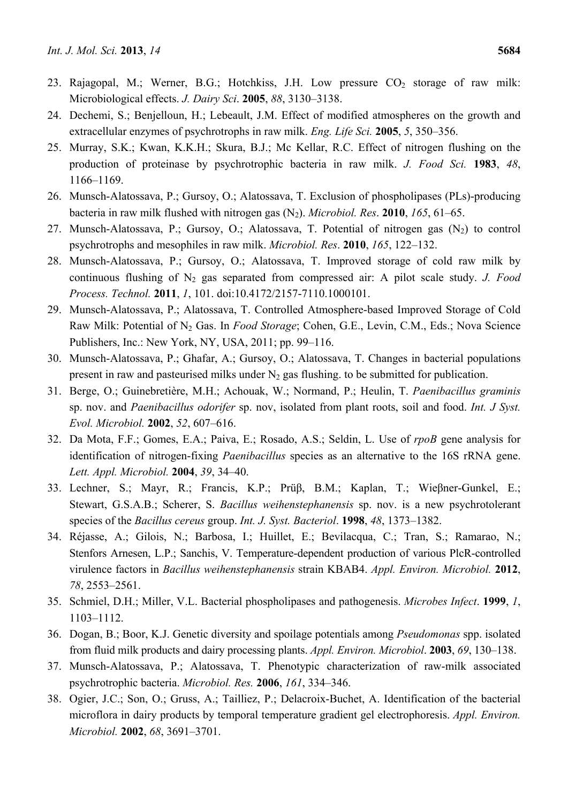- 23. Rajagopal, M.; Werner, B.G.; Hotchkiss, J.H. Low pressure  $CO<sub>2</sub>$  storage of raw milk: Microbiological effects. *J. Dairy Sci*. **2005**, *88*, 3130–3138.
- 24. Dechemi, S.; Benjelloun, H.; Lebeault, J.M. Effect of modified atmospheres on the growth and extracellular enzymes of psychrotrophs in raw milk. *Eng. Life Sci.* **2005**, *5*, 350–356.
- 25. Murray, S.K.; Kwan, K.K.H.; Skura, B.J.; Mc Kellar, R.C. Effect of nitrogen flushing on the production of proteinase by psychrotrophic bacteria in raw milk. *J. Food Sci.* **1983**, *48*, 1166–1169.
- 26. Munsch-Alatossava, P.; Gursoy, O.; Alatossava, T. Exclusion of phospholipases (PLs)-producing bacteria in raw milk flushed with nitrogen gas (N2). *Microbiol. Res*. **2010**, *165*, 61–65.
- 27. Munsch-Alatossava, P.; Gursoy, O.; Alatossava, T. Potential of nitrogen gas  $(N_2)$  to control psychrotrophs and mesophiles in raw milk. *Microbiol. Res*. **2010**, *165*, 122–132.
- 28. Munsch-Alatossava, P.; Gursoy, O.; Alatossava, T. Improved storage of cold raw milk by continuous flushing of N<sub>2</sub> gas separated from compressed air: A pilot scale study. *J. Food Process. Technol.* **2011**, *1*, 101. doi:10.4172/2157-7110.1000101.
- 29. Munsch-Alatossava, P.; Alatossava, T. Controlled Atmosphere-based Improved Storage of Cold Raw Milk: Potential of N<sub>2</sub> Gas. In *Food Storage*; Cohen, G.E., Levin, C.M., Eds.; Nova Science Publishers, Inc.: New York, NY, USA, 2011; pp. 99–116.
- 30. Munsch-Alatossava, P.; Ghafar, A.; Gursoy, O.; Alatossava, T. Changes in bacterial populations present in raw and pasteurised milks under  $N_2$  gas flushing, to be submitted for publication.
- 31. Berge, O.; Guinebretière, M.H.; Achouak, W.; Normand, P.; Heulin, T. *Paenibacillus graminis*  sp. nov. and *Paenibacillus odorifer* sp. nov, isolated from plant roots, soil and food. *Int. J Syst. Evol. Microbiol.* **2002**, *52*, 607–616.
- 32. Da Mota, F.F.; Gomes, E.A.; Paiva, E.; Rosado, A.S.; Seldin, L. Use of *rpoB* gene analysis for identification of nitrogen-fixing *Paenibacillus* species as an alternative to the 16S rRNA gene. *Lett. Appl. Microbiol.* **2004**, *39*, 34–40.
- 33. Lechner, S.; Mayr, R.; Francis, K.P.; Prüβ, B.M.; Kaplan, T.; Wieβner-Gunkel, E.; Stewart, G.S.A.B.; Scherer, S. *Bacillus weihenstephanensis* sp. nov. is a new psychrotolerant species of the *Bacillus cereus* group. *Int. J. Syst. Bacteriol*. **1998**, *48*, 1373–1382.
- 34. Réjasse, A.; Gilois, N.; Barbosa, I.; Huillet, E.; Bevilacqua, C.; Tran, S.; Ramarao, N.; Stenfors Arnesen, L.P.; Sanchis, V. Temperature-dependent production of various PlcR-controlled virulence factors in *Bacillus weihenstephanensis* strain KBAB4. *Appl. Environ. Microbiol.* **2012**, *78*, 2553–2561.
- 35. Schmiel, D.H.; Miller, V.L. Bacterial phospholipases and pathogenesis. *Microbes Infect*. **1999**, *1*, 1103–1112.
- 36. Dogan, B.; Boor, K.J. Genetic diversity and spoilage potentials among *Pseudomonas* spp. isolated from fluid milk products and dairy processing plants. *Appl. Environ. Microbiol*. **2003**, *69*, 130–138.
- 37. Munsch-Alatossava, P.; Alatossava, T. Phenotypic characterization of raw-milk associated psychrotrophic bacteria. *Microbiol. Res.* **2006**, *161*, 334–346.
- 38. Ogier, J.C.; Son, O.; Gruss, A.; Tailliez, P.; Delacroix-Buchet, A. Identification of the bacterial microflora in dairy products by temporal temperature gradient gel electrophoresis. *Appl. Environ. Microbiol.* **2002**, *68*, 3691–3701.